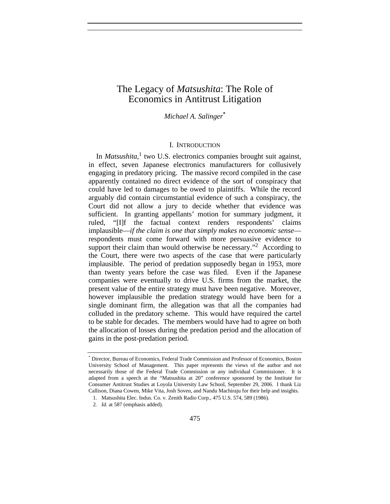# The Legacy of *Matsushita*: The Role of Economics in Antitrust Litigation

*Michael A. Salinger***\***

### I. INTRODUCTION

In *Matsushita*,<sup>1</sup> two U.S. electronics companies brought suit against, in effect, seven Japanese electronics manufacturers for collusively engaging in predatory pricing. The massive record compiled in the case apparently contained no direct evidence of the sort of conspiracy that could have led to damages to be owed to plaintiffs. While the record arguably did contain circumstantial evidence of such a conspiracy, the Court did not allow a jury to decide whether that evidence was sufficient. In granting appellants' motion for summary judgment, it ruled, "[I]f the factual context renders respondents' claims implausible—*if the claim is one that simply makes no economic sense* respondents must come forward with more persuasive evidence to support their claim than would otherwise be necessary."<sup>2</sup> According to the Court, there were two aspects of the case that were particularly implausible. The period of predation supposedly began in 1953, more than twenty years before the case was filed. Even if the Japanese companies were eventually to drive U.S. firms from the market, the present value of the entire strategy must have been negative. Moreover, however implausible the predation strategy would have been for a single dominant firm, the allegation was that all the companies had colluded in the predatory scheme. This would have required the cartel to be stable for decades. The members would have had to agree on both the allocation of losses during the predation period and the allocation of gains in the post-predation period.

<sup>\*</sup> Director, Bureau of Economics, Federal Trade Commission and Professor of Economics, Boston University School of Management. This paper represents the views of the author and not necessarily those of the Federal Trade Commission or any individual Commissioner. It is adapted from a speech at the "Matsushita at 20" conference sponsored by the Institute for Consumer Antitrust Studies at Loyola University Law School, September 29, 2006. I thank Liz Callison, Diana Cowen, Mike Vita, Josh Soven, and Nandu Machiraju for their help and insights.

<sup>1.</sup> Matsushita Elec. Indus. Co. v. Zenith Radio Corp., 475 U.S. 574, 589 (1986).

<sup>2</sup>*. Id.* at 587 (emphasis added).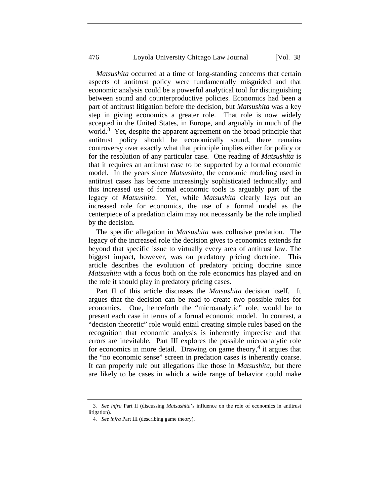*Matsushita* occurred at a time of long-standing concerns that certain aspects of antitrust policy were fundamentally misguided and that economic analysis could be a powerful analytical tool for distinguishing between sound and counterproductive policies. Economics had been a part of antitrust litigation before the decision, but *Matsushita* was a key step in giving economics a greater role. That role is now widely accepted in the United States, in Europe, and arguably in much of the world.<sup>3</sup> Yet, despite the apparent agreement on the broad principle that antitrust policy should be economically sound, there remains controversy over exactly what that principle implies either for policy or for the resolution of any particular case. One reading of *Matsushita* is that it requires an antitrust case to be supported by a formal economic model. In the years since *Matsushita*, the economic modeling used in antitrust cases has become increasingly sophisticated technically; and this increased use of formal economic tools is arguably part of the legacy of *Matsushita*. Yet, while *Matsushita* clearly lays out an increased role for economics, the use of a formal model as the centerpiece of a predation claim may not necessarily be the role implied by the decision.

The specific allegation in *Matsushita* was collusive predation. The legacy of the increased role the decision gives to economics extends far beyond that specific issue to virtually every area of antitrust law. The biggest impact, however, was on predatory pricing doctrine. This article describes the evolution of predatory pricing doctrine since *Matsushita* with a focus both on the role economics has played and on the role it should play in predatory pricing cases.

Part II of this article discusses the *Matsushita* decision itself. It argues that the decision can be read to create two possible roles for economics. One, henceforth the "microanalytic" role, would be to present each case in terms of a formal economic model. In contrast, a "decision theoretic" role would entail creating simple rules based on the recognition that economic analysis is inherently imprecise and that errors are inevitable. Part III explores the possible microanalytic role for economics in more detail. Drawing on game theory,<sup>4</sup> it argues that the "no economic sense" screen in predation cases is inherently coarse. It can properly rule out allegations like those in *Matsushita*, but there are likely to be cases in which a wide range of behavior could make

<sup>3</sup>*. See infra* Part II (discussing *Matsushita*'s influence on the role of economics in antitrust litigation).

<sup>4</sup>*. See infra* Part III (describing game theory).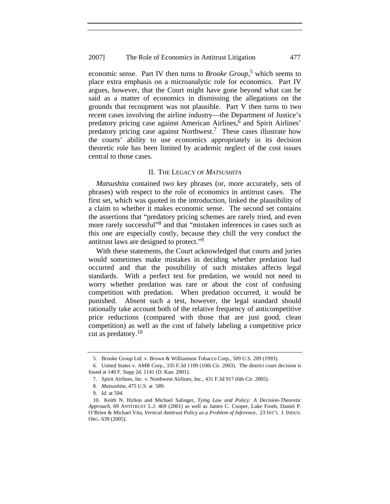#### 2007] The Role of Economics in Antitrust Litigation 477

economic sense. Part IV then turns to *Brooke Group*, 5 which seems to place extra emphasis on a microanalytic role for economics. Part IV argues, however, that the Court might have gone beyond what can be said as a matter of economics in dismissing the allegations on the grounds that recoupment was not plausible. Part V then turns to two recent cases involving the airline industry—the Department of Justice's predatory pricing case against American Airlines, $\overline{6}$  and Spirit Airlines' predatory pricing case against Northwest.7 These cases illustrate how the courts' ability to use economics appropriately in its decision theoretic role has been limited by academic neglect of the cost issues central to those cases.

#### II. THE LEGACY OF *MATSUSHITA*

*Matsushita* contained two key phrases (or, more accurately, sets of phrases) with respect to the role of economics in antitrust cases. The first set, which was quoted in the introduction, linked the plausibility of a claim to whether it makes economic sense. The second set contains the assertions that "predatory pricing schemes are rarely tried, and even more rarely successful"8 and that "mistaken inferences in cases such as this one are especially costly, because they chill the very conduct the antitrust laws are designed to protect."9

With these statements, the Court acknowledged that courts and juries would sometimes make mistakes in deciding whether predation had occurred and that the possibility of such mistakes affects legal standards. With a perfect test for predation, we would not need to worry whether predation was rare or about the cost of confusing competition with predation. When predation occurred, it would be punished. Absent such a test, however, the legal standard should rationally take account both of the relative frequency of anticompetitive price reductions (compared with those that are just good, clean competition) as well as the cost of falsely labeling a competitive price cut as predatory.<sup>10</sup>

<sup>5.</sup> Brooke Group Ltd. v. Brown & Williamson Tobacco Corp., 509 U.S. 209 (1993).

<sup>6.</sup> United States v. AMR Corp., 335 F.3d 1109 (10th Cir. 2003). The district court decision is found at 140 F. Supp 2d. 1141 (D. Kan. 2001).

<sup>7.</sup> Spirit Airlines, Inc. v. Northwest Airlines, Inc., 431 F.3d 917 (6th Cir. 2005).

<sup>8</sup>*. Matsushita*, 475 U.S. at 589.

<sup>9</sup>*. Id.* at 594.

<sup>10.</sup> Keith N. Hylton and Michael Salinger, *Tying Law and Policy: A Decision-Theoretic Approach*, 69 ANTITRUST L.J. 469 (2001) as well as James C. Cooper, Luke Froeb, Daniel P. O'Brien & Michael Vita, *Vertical Antitrust Policy as a Problem of Inference*, 23 INT'L J. INDUS. ORG. 639 (2005).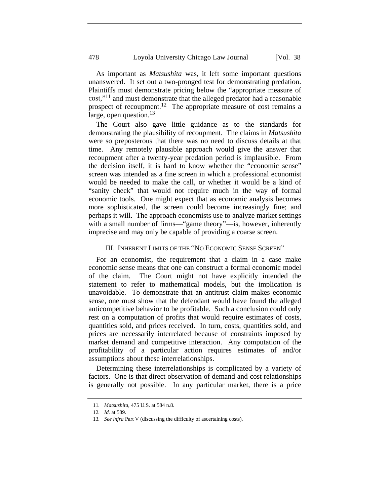As important as *Matsushita* was, it left some important questions unanswered. It set out a two-pronged test for demonstrating predation. Plaintiffs must demonstrate pricing below the "appropriate measure of cost,"11 and must demonstrate that the alleged predator had a reasonable prospect of recoupment.<sup>12</sup> The appropriate measure of cost remains a large, open question. $^{13}$ 

The Court also gave little guidance as to the standards for demonstrating the plausibility of recoupment. The claims in *Matsushita*  were so preposterous that there was no need to discuss details at that time. Any remotely plausible approach would give the answer that recoupment after a twenty-year predation period is implausible. From the decision itself, it is hard to know whether the "economic sense" screen was intended as a fine screen in which a professional economist would be needed to make the call, or whether it would be a kind of "sanity check" that would not require much in the way of formal economic tools. One might expect that as economic analysis becomes more sophisticated, the screen could become increasingly fine; and perhaps it will. The approach economists use to analyze market settings with a small number of firms—"game theory"—is, however, inherently imprecise and may only be capable of providing a coarse screen.

## III. INHERENT LIMITS OF THE "NO ECONOMIC SENSE SCREEN"

For an economist, the requirement that a claim in a case make economic sense means that one can construct a formal economic model of the claim. The Court might not have explicitly intended the statement to refer to mathematical models, but the implication is unavoidable. To demonstrate that an antitrust claim makes economic sense, one must show that the defendant would have found the alleged anticompetitive behavior to be profitable. Such a conclusion could only rest on a computation of profits that would require estimates of costs, quantities sold, and prices received. In turn, costs, quantities sold, and prices are necessarily interrelated because of constraints imposed by market demand and competitive interaction. Any computation of the profitability of a particular action requires estimates of and/or assumptions about these interrelationships.

Determining these interrelationships is complicated by a variety of factors. One is that direct observation of demand and cost relationships is generally not possible. In any particular market, there is a price

<sup>11</sup>*. Matsushita*, 475 U.S. at 584 n.8.

<sup>12</sup>*. Id.* at 589.

<sup>13</sup>*. See infra* Part V (discussing the difficulty of ascertaining costs).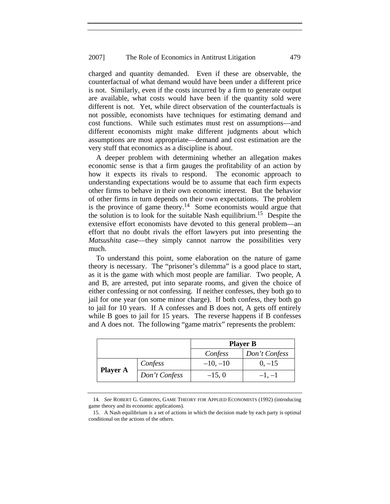#### 2007] The Role of Economics in Antitrust Litigation 479

charged and quantity demanded. Even if these are observable, the counterfactual of what demand would have been under a different price is not. Similarly, even if the costs incurred by a firm to generate output are available, what costs would have been if the quantity sold were different is not. Yet, while direct observation of the counterfactuals is not possible, economists have techniques for estimating demand and cost functions. While such estimates must rest on assumptions—and different economists might make different judgments about which assumptions are most appropriate—demand and cost estimation are the very stuff that economics as a discipline is about.

A deeper problem with determining whether an allegation makes economic sense is that a firm gauges the profitability of an action by how it expects its rivals to respond. The economic approach to understanding expectations would be to assume that each firm expects other firms to behave in their own economic interest. But the behavior of other firms in turn depends on their own expectations. The problem is the province of game theory.<sup>14</sup> Some economists would argue that the solution is to look for the suitable Nash equilibrium.<sup>15</sup> Despite the extensive effort economists have devoted to this general problem—an effort that no doubt rivals the effort lawyers put into presenting the *Matsushita* case—they simply cannot narrow the possibilities very much.

To understand this point, some elaboration on the nature of game theory is necessary. The "prisoner's dilemma" is a good place to start, as it is the game with which most people are familiar. Two people, A and B, are arrested, put into separate rooms, and given the choice of either confessing or not confessing. If neither confesses, they both go to jail for one year (on some minor charge). If both confess, they both go to jail for 10 years. If A confesses and B does not, A gets off entirely while B goes to jail for 15 years. The reverse happens if B confesses and A does not. The following "game matrix" represents the problem:

|                 |               | <b>Player B</b> |               |
|-----------------|---------------|-----------------|---------------|
|                 |               | Confess         | Don't Confess |
| <b>Player A</b> | Confess       | $-10, -10$      | $0, -15$      |
|                 | Don't Confess | $-15,0$         | $-1, -1$      |

<sup>14</sup>*. See* ROBERT G. GIBBONS, GAME THEORY FOR APPLIED ECONOMISTS (1992) (introducing game theory and its economic applications).

<sup>15.</sup> A Nash equilibrium is a set of actions in which the decision made by each party is optimal conditional on the actions of the others.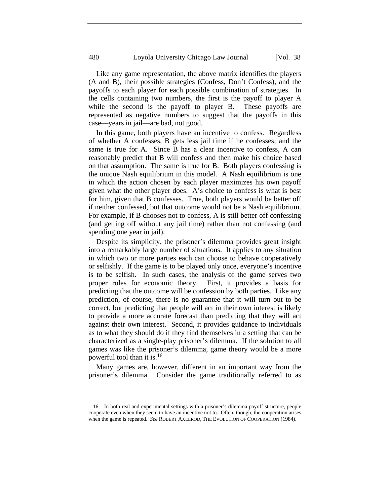Like any game representation, the above matrix identifies the players (A and B), their possible strategies (Confess, Don't Confess), and the payoffs to each player for each possible combination of strategies. In the cells containing two numbers, the first is the payoff to player A while the second is the payoff to player B. These payoffs are represented as negative numbers to suggest that the payoffs in this case—years in jail—are bad, not good.

In this game, both players have an incentive to confess. Regardless of whether A confesses, B gets less jail time if he confesses; and the same is true for A. Since B has a clear incentive to confess, A can reasonably predict that B will confess and then make his choice based on that assumption. The same is true for B. Both players confessing is the unique Nash equilibrium in this model. A Nash equilibrium is one in which the action chosen by each player maximizes his own payoff given what the other player does. A's choice to confess is what is best for him, given that B confesses. True, both players would be better off if neither confessed, but that outcome would not be a Nash equilibrium. For example, if B chooses not to confess, A is still better off confessing (and getting off without any jail time) rather than not confessing (and spending one year in jail).

Despite its simplicity, the prisoner's dilemma provides great insight into a remarkably large number of situations. It applies to any situation in which two or more parties each can choose to behave cooperatively or selfishly. If the game is to be played only once, everyone's incentive is to be selfish. In such cases, the analysis of the game serves two proper roles for economic theory. First, it provides a basis for predicting that the outcome will be confession by both parties. Like any prediction, of course, there is no guarantee that it will turn out to be correct, but predicting that people will act in their own interest is likely to provide a more accurate forecast than predicting that they will act against their own interest. Second, it provides guidance to individuals as to what they should do if they find themselves in a setting that can be characterized as a single-play prisoner's dilemma. If the solution to all games was like the prisoner's dilemma, game theory would be a more powerful tool than it is.16

Many games are, however, different in an important way from the prisoner's dilemma. Consider the game traditionally referred to as

<sup>16.</sup> In both real and experimental settings with a prisoner's dilemma payoff structure, people cooperate even when they seem to have an incentive not to. Often, though, the cooperation arises when the game is repeated. *See* ROBERT AXELROD, THE EVOLUTION OF COOPERATION (1984).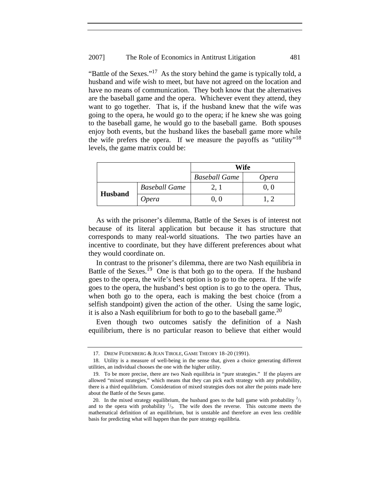### 2007] The Role of Economics in Antitrust Litigation 481

"Battle of the Sexes."<sup>17</sup> As the story behind the game is typically told, a husband and wife wish to meet, but have not agreed on the location and have no means of communication. They both know that the alternatives are the baseball game and the opera. Whichever event they attend, they want to go together. That is, if the husband knew that the wife was going to the opera, he would go to the opera; if he knew she was going to the baseball game, he would go to the baseball game. Both spouses enjoy both events, but the husband likes the baseball game more while the wife prefers the opera. If we measure the payoffs as "utility"<sup>18</sup> levels, the game matrix could be:

|                |                      | Wife                 |              |
|----------------|----------------------|----------------------|--------------|
|                |                      | <b>Baseball Game</b> | <i>Opera</i> |
| <b>Husband</b> | <b>Baseball Game</b> |                      | 0. O         |
|                | Opera                |                      |              |

As with the prisoner's dilemma, Battle of the Sexes is of interest not because of its literal application but because it has structure that corresponds to many real-world situations. The two parties have an incentive to coordinate, but they have different preferences about what they would coordinate on.

In contrast to the prisoner's dilemma, there are two Nash equilibria in Battle of the Sexes.<sup>19</sup> One is that both go to the opera. If the husband goes to the opera, the wife's best option is to go to the opera. If the wife goes to the opera, the husband's best option is to go to the opera. Thus, when both go to the opera, each is making the best choice (from a selfish standpoint) given the action of the other. Using the same logic, it is also a Nash equilibrium for both to go to the baseball game.<sup>20</sup>

Even though two outcomes satisfy the definition of a Nash equilibrium, there is no particular reason to believe that either would

<sup>17.</sup> DREW FUDENBERG & JEAN TIROLE, GAME THEORY 18–20 (1991).

<sup>18.</sup> Utility is a measure of well-being in the sense that, given a choice generating different utilities, an individual chooses the one with the higher utility.

<sup>19.</sup> To be more precise, there are two Nash equilibria in "pure strategies." If the players are allowed "mixed strategies," which means that they can pick each strategy with any probability, there is a third equilibrium. Consideration of mixed strategies does not alter the points made here about the Battle of the Sexes game.

<sup>20.</sup> In the mixed strategy equilibrium, the husband goes to the ball game with probability  $\frac{2}{3}$ and to the opera with probability  $\frac{1}{3}$ . The wife does the reverse. This outcome meets the mathematical definition of an equilibrium, but is unstable and therefore an even less credible basis for predicting what will happen than the pure strategy equilibria.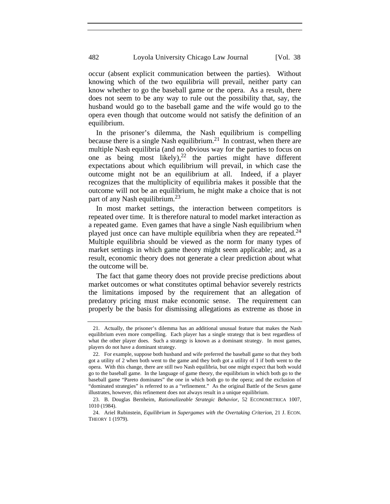occur (absent explicit communication between the parties). Without knowing which of the two equilibria will prevail, neither party can know whether to go the baseball game or the opera. As a result, there does not seem to be any way to rule out the possibility that, say, the husband would go to the baseball game and the wife would go to the opera even though that outcome would not satisfy the definition of an equilibrium.

In the prisoner's dilemma, the Nash equilibrium is compelling because there is a single Nash equilibrium.<sup>21</sup> In contrast, when there are multiple Nash equilibria (and no obvious way for the parties to focus on one as being most likely), $22$  the parties might have different expectations about which equilibrium will prevail, in which case the outcome might not be an equilibrium at all. Indeed, if a player recognizes that the multiplicity of equilibria makes it possible that the outcome will not be an equilibrium, he might make a choice that is not part of any Nash equilibrium.<sup>23</sup>

In most market settings, the interaction between competitors is repeated over time. It is therefore natural to model market interaction as a repeated game. Even games that have a single Nash equilibrium when played just once can have multiple equilibria when they are repeated.<sup>24</sup> Multiple equilibria should be viewed as the norm for many types of market settings in which game theory might seem applicable; and, as a result, economic theory does not generate a clear prediction about what the outcome will be.

The fact that game theory does not provide precise predictions about market outcomes or what constitutes optimal behavior severely restricts the limitations imposed by the requirement that an allegation of predatory pricing must make economic sense. The requirement can properly be the basis for dismissing allegations as extreme as those in

<sup>21.</sup> Actually, the prisoner's dilemma has an additional unusual feature that makes the Nash equilibrium even more compelling. Each player has a single strategy that is best regardless of what the other player does. Such a strategy is known as a dominant strategy. In most games, players do not have a dominant strategy.

<sup>22.</sup> For example, suppose both husband and wife preferred the baseball game so that they both got a utility of 2 when both went to the game and they both got a utility of 1 if both went to the opera. With this change, there are still two Nash equilibria, but one might expect that both would go to the baseball game. In the language of game theory, the equilibrium in which both go to the baseball game "Pareto dominates" the one in which both go to the opera; and the exclusion of "dominated strategies" is referred to as a "refinement." As the original Battle of the Sexes game illustrates, however, this refinement does not always result in a unique equilibrium.

<sup>23.</sup> B. Douglas Bernheim, *Rationalizeable Strategic Behavior*, 52 ECONOMETRICA 1007, 1010 (1984).

<sup>24.</sup> Ariel Rubinstein, *Equilibrium in Supergames with the Overtaking Criterion*, 21 J. ECON. THEORY 1 (1979).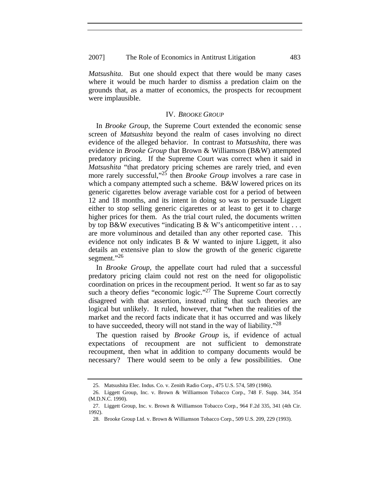*Matsushita*. But one should expect that there would be many cases where it would be much harder to dismiss a predation claim on the grounds that, as a matter of economics, the prospects for recoupment were implausible.

#### IV. *BROOKE GROUP*

In *Brooke Group*, the Supreme Court extended the economic sense screen of *Matsushita* beyond the realm of cases involving no direct evidence of the alleged behavior. In contrast to *Matsushita*, there was evidence in *Brooke Group* that Brown & Williamson (B&W) attempted predatory pricing. If the Supreme Court was correct when it said in *Matsushita* "that predatory pricing schemes are rarely tried, and even more rarely successful,"25 then *Brooke Group* involves a rare case in which a company attempted such a scheme. B&W lowered prices on its generic cigarettes below average variable cost for a period of between 12 and 18 months, and its intent in doing so was to persuade Liggett either to stop selling generic cigarettes or at least to get it to charge higher prices for them. As the trial court ruled, the documents written by top B&W executives "indicating B & W's anticompetitive intent  $\dots$ are more voluminous and detailed than any other reported case. This evidence not only indicates B & W wanted to injure Liggett, it also details an extensive plan to slow the growth of the generic cigarette segment."<sup>26</sup>

In *Brooke Group*, the appellate court had ruled that a successful predatory pricing claim could not rest on the need for oligopolistic coordination on prices in the recoupment period. It went so far as to say such a theory defies "economic logic." $27$  The Supreme Court correctly disagreed with that assertion, instead ruling that such theories are logical but unlikely. It ruled, however, that "when the realities of the market and the record facts indicate that it has occurred and was likely to have succeeded, theory will not stand in the way of liability."28

The question raised by *Brooke Group* is, if evidence of actual expectations of recoupment are not sufficient to demonstrate recoupment, then what in addition to company documents would be necessary? There would seem to be only a few possibilities. One

<sup>25.</sup> Matsushita Elec. Indus. Co. v. Zenith Radio Corp., 475 U.S. 574, 589 (1986).

<sup>26.</sup> Liggett Group, Inc. v. Brown & Williamson Tobacco Corp., 748 F. Supp. 344, 354 (M.D.N.C. 1990).

<sup>27.</sup> Liggett Group, Inc. v. Brown & Williamson Tobacco Corp., 964 F.2d 335, 341 (4th Cir. 1992).

<sup>28.</sup> Brooke Group Ltd. v. Brown & Williamson Tobacco Corp., 509 U.S. 209, 229 (1993).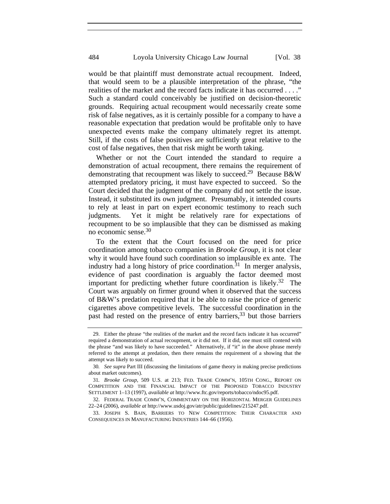would be that plaintiff must demonstrate actual recoupment. Indeed, that would seem to be a plausible interpretation of the phrase, "the realities of the market and the record facts indicate it has occurred . . . ." Such a standard could conceivably be justified on decision-theoretic grounds. Requiring actual recoupment would necessarily create some risk of false negatives, as it is certainly possible for a company to have a reasonable expectation that predation would be profitable only to have unexpected events make the company ultimately regret its attempt. Still, if the costs of false positives are sufficiently great relative to the cost of false negatives, then that risk might be worth taking.

Whether or not the Court intended the standard to require a demonstration of actual recoupment, there remains the requirement of demonstrating that recoupment was likely to succeed.<sup>29</sup> Because B&W attempted predatory pricing, it must have expected to succeed. So the Court decided that the judgment of the company did not settle the issue. Instead, it substituted its own judgment. Presumably, it intended courts to rely at least in part on expert economic testimony to reach such judgments. Yet it might be relatively rare for expectations of recoupment to be so implausible that they can be dismissed as making no economic sense.30

To the extent that the Court focused on the need for price coordination among tobacco companies in *Brooke Group*, it is not clear why it would have found such coordination so implausible ex ante. The industry had a long history of price coordination.<sup>31</sup> In merger analysis, evidence of past coordination is arguably the factor deemed most important for predicting whether future coordination is likely.<sup>32</sup> The Court was arguably on firmer ground when it observed that the success of B&W's predation required that it be able to raise the price of generic cigarettes above competitive levels. The successful coordination in the past had rested on the presence of entry barriers,<sup>33</sup> but those barriers

<sup>29.</sup> Either the phrase "the realities of the market and the record facts indicate it has occurred" required a demonstration of actual recoupment, or it did not. If it did, one must still contend with the phrase "and was likely to have succeeded." Alternatively, if "it" in the above phrase merely referred to the attempt at predation, then there remains the requirement of a showing that the attempt was likely to succeed.

<sup>30</sup>*. See supra* Part III (discussing the limitations of game theory in making precise predictions about market outcomes).

<sup>31</sup>*. Brooke Group*, 509 U.S. at 213; FED. TRADE COMM'N, 105TH CONG., REPORT ON COMPETITION AND THE FINANCIAL IMPACT OF THE PROPOSED TOBACCO INDUSTRY SETTLEMENT 1–13 (1997), *available at* http://www.ftc.gov/reports/tobacco/ndoc95.pdf.

<sup>32.</sup> FEDERAL TRADE COMM'N, COMMENTARY ON THE HORIZONTAL MERGER GUIDELINES 22–24 (2006), *available at* http://www.usdoj.gov/atr/public/guidelines/215247.pdf.

<sup>33.</sup> JOSEPH S. BAIN, BARRIERS TO NEW COMPETITION: THEIR CHARACTER AND CONSEQUENCES IN MANUFACTURING INDUSTRIES 144–66 (1956).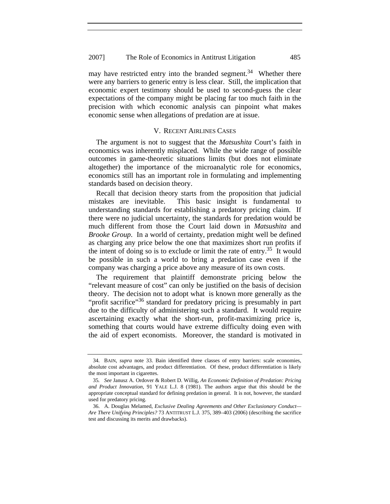may have restricted entry into the branded segment.<sup>34</sup> Whether there were any barriers to generic entry is less clear. Still, the implication that economic expert testimony should be used to second-guess the clear expectations of the company might be placing far too much faith in the precision with which economic analysis can pinpoint what makes economic sense when allegations of predation are at issue.

#### V. RECENT AIRLINES CASES

The argument is not to suggest that the *Matsushita* Court's faith in economics was inherently misplaced. While the wide range of possible outcomes in game-theoretic situations limits (but does not eliminate altogether) the importance of the microanalytic role for economics, economics still has an important role in formulating and implementing standards based on decision theory.

Recall that decision theory starts from the proposition that judicial mistakes are inevitable. This basic insight is fundamental to understanding standards for establishing a predatory pricing claim. If there were no judicial uncertainty, the standards for predation would be much different from those the Court laid down in *Matsushita* and *Brooke Group*. In a world of certainty, predation might well be defined as charging any price below the one that maximizes short run profits if the intent of doing so is to exclude or limit the rate of entry.<sup>35</sup> It would be possible in such a world to bring a predation case even if the company was charging a price above any measure of its own costs.

The requirement that plaintiff demonstrate pricing below the "relevant measure of cost" can only be justified on the basis of decision theory. The decision not to adopt what is known more generally as the "profit sacrifice"<sup>36</sup> standard for predatory pricing is presumably in part due to the difficulty of administering such a standard. It would require ascertaining exactly what the short-run, profit-maximizing price is, something that courts would have extreme difficulty doing even with the aid of expert economists. Moreover, the standard is motivated in

<sup>34.</sup> BAIN, *supra* note 33. Bain identified three classes of entry barriers: scale economies, absolute cost advantages, and product differentiation. Of these, product differentiation is likely the most important in cigarettes.

<sup>35</sup>*. See* Janusz A. Ordover & Robert D. Willig, *An Economic Definition of Predation: Pricing and Product Innovation*, 91 YALE L.J. 8 (1981). The authors argue that this should be the appropriate conceptual standard for defining predation in general. It is not, however, the standard used for predatory pricing.

<sup>36.</sup> A. Douglas Melamed, *Exclusive Dealing Agreements and Other Exclusionary Conduct— Are There Unifying Principles?* 73 ANTITRUST L.J. 375, 389–403 (2006) (describing the sacrifice test and discussing its merits and drawbacks).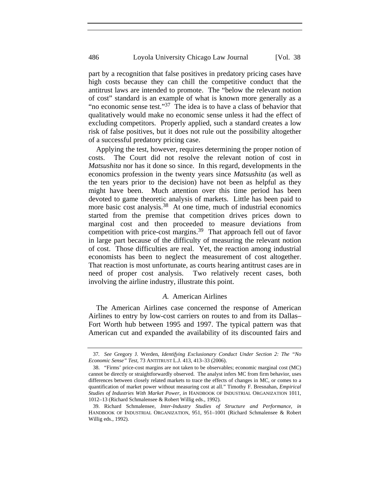part by a recognition that false positives in predatory pricing cases have high costs because they can chill the competitive conduct that the antitrust laws are intended to promote. The "below the relevant notion of cost" standard is an example of what is known more generally as a "no economic sense test."<sup>37</sup> The idea is to have a class of behavior that qualitatively would make no economic sense unless it had the effect of excluding competitors. Properly applied, such a standard creates a low risk of false positives, but it does not rule out the possibility altogether of a successful predatory pricing case.

Applying the test, however, requires determining the proper notion of costs. The Court did not resolve the relevant notion of cost in *Matsushita* nor has it done so since. In this regard, developments in the economics profession in the twenty years since *Matsushita* (as well as the ten years prior to the decision) have not been as helpful as they might have been. Much attention over this time period has been devoted to game theoretic analysis of markets. Little has been paid to more basic cost analysis.<sup>38</sup> At one time, much of industrial economics started from the premise that competition drives prices down to marginal cost and then proceeded to measure deviations from competition with price-cost margins.<sup>39</sup> That approach fell out of favor in large part because of the difficulty of measuring the relevant notion of cost. Those difficulties are real. Yet, the reaction among industrial economists has been to neglect the measurement of cost altogether. That reaction is most unfortunate, as courts hearing antitrust cases are in need of proper cost analysis. Two relatively recent cases, both involving the airline industry, illustrate this point.

#### *A.* American Airlines

The American Airlines case concerned the response of American Airlines to entry by low-cost carriers on routes to and from its Dallas– Fort Worth hub between 1995 and 1997. The typical pattern was that American cut and expanded the availability of its discounted fairs and

<sup>37</sup>*. See* Gregory J. Werden, *Identifying Exclusionary Conduct Under Section 2: The "No Economic Sense" Test*, 73 ANTITRUST L.J. 413, 413–33 (2006).

<sup>38. &</sup>quot;Firms' price-cost margins are not taken to be observables; economic marginal cost (MC) cannot be directly or straightforwardly observed. The analyst infers MC from firm behavior, uses differences between closely related markets to trace the effects of changes in MC, or comes to a quantification of market power without measuring cost at all." Timothy F. Bresnahan, *Empirical Studies of Industries With Market Power*, *in* HANDBOOK OF INDUSTRIAL ORGANIZATION 1011, 1012–13 (Richard Schmalensee & Robert Willig eds., 1992).

<sup>39.</sup> Richard Schmalensee, *Inter-Industry Studies of Structure and Performance*, *in*  HANDBOOK OF INDUSTRIAL ORGANIZATION, 951, 951–1001 (Richard Schmalensee & Robert Willig eds., 1992).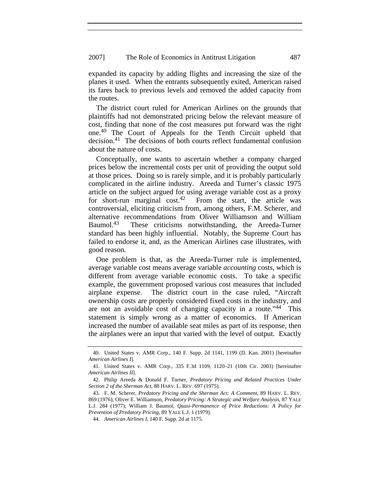expanded its capacity by adding flights and increasing the size of the planes it used. When the entrants subsequently exited, American raised its fares back to previous levels and removed the added capacity from the routes.

The district court ruled for American Airlines on the grounds that plaintiffs had not demonstrated pricing below the relevant measure of cost, finding that none of the cost measures put forward was the right one.40 The Court of Appeals for the Tenth Circuit upheld that  $decision<sup>41</sup>$ . The decisions of both courts reflect fundamental confusion about the nature of costs.

Conceptually, one wants to ascertain whether a company charged prices below the incremental costs per unit of providing the output sold at those prices. Doing so is rarely simple, and it is probably particularly complicated in the airline industry. Areeda and Turner's classic 1975 article on the subject argued for using average variable cost as a proxy for short-run marginal cost.<sup>42</sup> From the start, the article was controversial, eliciting criticism from, among others, F.M. Scherer, and alternative recommendations from Oliver Williamson and William Baumol.<sup>43</sup> These criticisms notwithstanding, the Areeda-Turner standard has been highly influential. Notably, the Supreme Court has failed to endorse it, and, as the American Airlines case illustrates, with good reason.

One problem is that, as the Areeda-Turner rule is implemented, average variable cost means average variable *accounting* costs, which is different from average variable economic costs. To take a specific example, the government proposed various cost measures that included airplane expense. The district court in the case ruled, "Aircraft ownership costs are properly considered fixed costs in the industry, and are not an avoidable cost of changing capacity in a route."<sup>44</sup> This statement is simply wrong as a matter of economics. If American increased the number of available seat miles as part of its response, then the airplanes were an input that varied with the level of output. Exactly

<sup>40.</sup> United States v. AMR Corp., 140 F. Supp. 2d 1141, 1199 (D. Kan. 2001) [hereinafter *American Airlines I*].

<sup>41.</sup> United States v. AMR Corp., 335 F.3d 1109, 1120–21 (10th Cir. 2003) [hereinafter *American Airlines II*].

<sup>42.</sup> Philip Areeda & Donald F. Turner, *Predatory Pricing and Related Practices Under Section 2 of the Sherman Act*, 88 HARV. L. REV. 697 (1975).

<sup>43.</sup> F. M. Scherer, *Predatory Pricing and the Sherman Act: A Comment*, 89 HARV. L. REV. 869 (1976); Oliver E. Williamson, *Predatory Pricing: A Strategic and Welfare Analysis*, 87 YALE L.J. 284 (1977); William J. Baumol, *Quasi-Permanence of Price Reductions: A Policy for Prevention of Predatory Pricing*, 89 YALE L.J. 1 (1979).

<sup>44</sup>*. American Airlines I*, 140 F. Supp. 2d at 1175.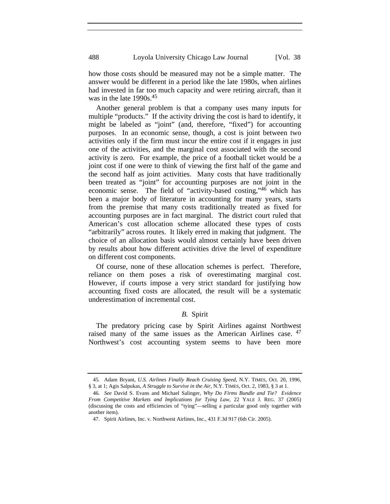how those costs should be measured may not be a simple matter. The answer would be different in a period like the late 1980s, when airlines had invested in far too much capacity and were retiring aircraft, than it was in the late 1990s.<sup>45</sup>

Another general problem is that a company uses many inputs for multiple "products." If the activity driving the cost is hard to identify, it might be labeled as "joint" (and, therefore, "fixed") for accounting purposes. In an economic sense, though, a cost is joint between two activities only if the firm must incur the entire cost if it engages in just one of the activities, and the marginal cost associated with the second activity is zero. For example, the price of a football ticket would be a joint cost if one were to think of viewing the first half of the game and the second half as joint activities. Many costs that have traditionally been treated as "joint" for accounting purposes are not joint in the economic sense. The field of "activity-based costing,"46 which has been a major body of literature in accounting for many years, starts from the premise that many costs traditionally treated as fixed for accounting purposes are in fact marginal. The district court ruled that American's cost allocation scheme allocated these types of costs "arbitrarily" across routes. It likely erred in making that judgment. The choice of an allocation basis would almost certainly have been driven by results about how different activities drive the level of expenditure on different cost components.

Of course, none of these allocation schemes is perfect. Therefore, reliance on them poses a risk of overestimating marginal cost. However, if courts impose a very strict standard for justifying how accounting fixed costs are allocated, the result will be a systematic underestimation of incremental cost.

### *B.* Spirit

The predatory pricing case by Spirit Airlines against Northwest raised many of the same issues as the American Airlines case.  $47$ Northwest's cost accounting system seems to have been more

<sup>45</sup>*.* Adam Bryant, *U.S. Airlines Finally Reach Cruising Speed*, N.Y. TIMES, Oct. 20, 1996, § 3, at 1; Agis Salpukas, *A Struggle to Survive in the Air*, N.Y. TIMES, Oct. 2, 1983, § 3 at 1.

<sup>46</sup>*. See* David S. Evans and Michael Salinger, *Why Do Firms Bundle and Tie? Evidence From Competitive Markets and Implications for Tying Law*, 22 YALE J. REG. 37 (2005) (discussing the costs and efficiencies of "tying"—selling a particular good only together with another item).

<sup>47.</sup> Spirit Airlines, Inc. v. Northwest Airlines, Inc., 431 F.3d 917 (6th Cir. 2005).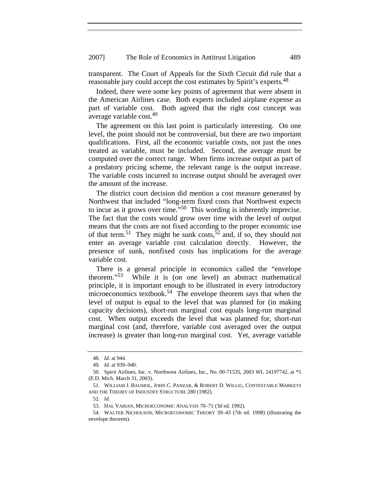transparent. The Court of Appeals for the Sixth Circuit did rule that a reasonable jury could accept the cost estimates by Spirit's experts.<sup>48</sup>

Indeed, there were some key points of agreement that were absent in the American Airlines case. Both experts included airplane expense as part of variable cost. Both agreed that the right cost concept was average variable cost.49

The agreement on this last point is particularly interesting. On one level, the point should not be controversial, but there are two important qualifications. First, all the economic variable costs, not just the ones treated as variable, must be included. Second, the average must be computed over the correct range. When firms increase output as part of a predatory pricing scheme, the relevant range is the output increase. The variable costs incurred to increase output should be averaged over the amount of the increase.

The district court decision did mention a cost measure generated by Northwest that included "long-term fixed costs that Northwest expects to incur as it grows over time."50 This wording is inherently imprecise. The fact that the costs would grow over time with the level of output means that the costs are not fixed according to the proper economic use of that term.<sup>51</sup> They might be sunk costs,<sup>52</sup> and, if so, they should not enter an average variable cost calculation directly. However, the presence of sunk, nonfixed costs has implications for the average variable cost.

There is a general principle in economics called the "envelope theorem."53 While it is (on one level) an abstract mathematical principle, it is important enough to be illustrated in every introductory microeconomics textbook.<sup>54</sup> The envelope theorem says that when the level of output is equal to the level that was planned for (in making capacity decisions), short-run marginal cost equals long-run marginal cost. When output exceeds the level that was planned for, short-run marginal cost (and, therefore, variable cost averaged over the output increase) is greater than long-run marginal cost. Yet, average variable

<sup>48</sup>*. Id.* at 944.

<sup>49</sup>*. Id.* at 939–940.

<sup>50.</sup> Spirit Airlines, Inc. v. Northwest Airlines, Inc., No. 00-71535, 2003 WL 24197742, at \*5 (E.D. Mich. March 31, 2003).

<sup>51.</sup> WILLIAM J. BAUMOL, JOHN C. PANZAR, & ROBERT D. WILLIG, CONTESTABLE MARKETS AND THE THEORY OF INDUSTRY STRUCTURE 280 (1982).

<sup>52</sup>*. Id.*

<sup>53.</sup> HAL VARIAN, MICROECONOMIC ANALYSIS 70–71 (3d ed. 1992).

<sup>54.</sup> WALTER NICHOLSON, MICROECONOMIC THEORY 39–43 (7th ed. 1998) (illustrating the envelope theorem).